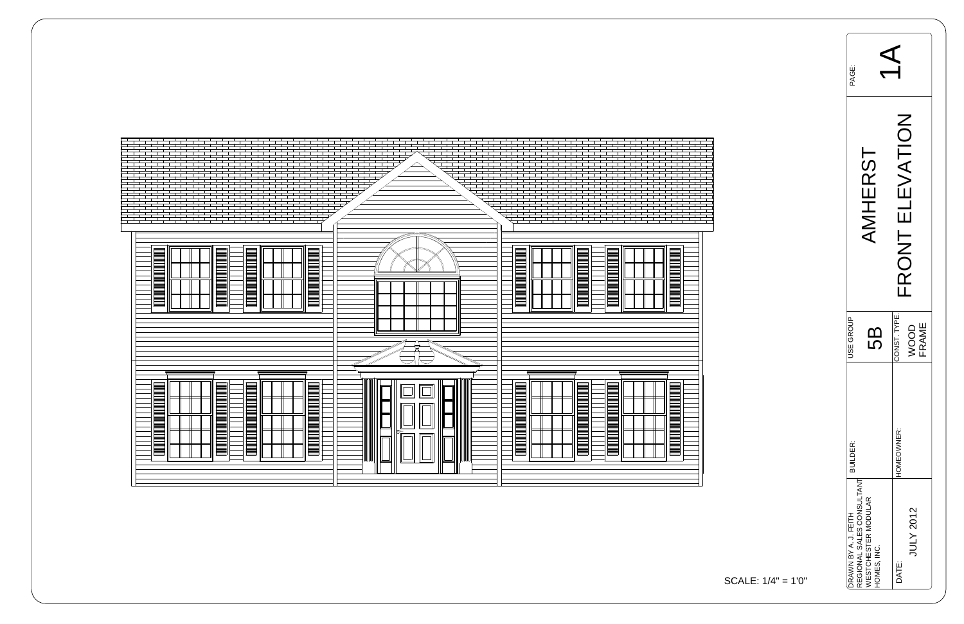

| PAGE:                |                                                                               |                                     |  |  |  |  |
|----------------------|-------------------------------------------------------------------------------|-------------------------------------|--|--|--|--|
| AMHERST              |                                                                               | EVATION<br>$\frac{1}{11}$<br>I HZOK |  |  |  |  |
| <b>JSE GROUP</b>     | 5                                                                             | CONST. TYPE.<br><b>FRAME</b><br>OOO |  |  |  |  |
| BUILDER:             |                                                                               | HOMEOWNER:                          |  |  |  |  |
| DRAWN BY A. J. FEITH | REGIONAL SALES CONSULTANT<br><b><i>NESTCHESTER MODULAR</i></b><br>HOMES, INC. | JULY 2012<br>DATE:                  |  |  |  |  |

$$
SCALE: 1/4" = 1'0"
$$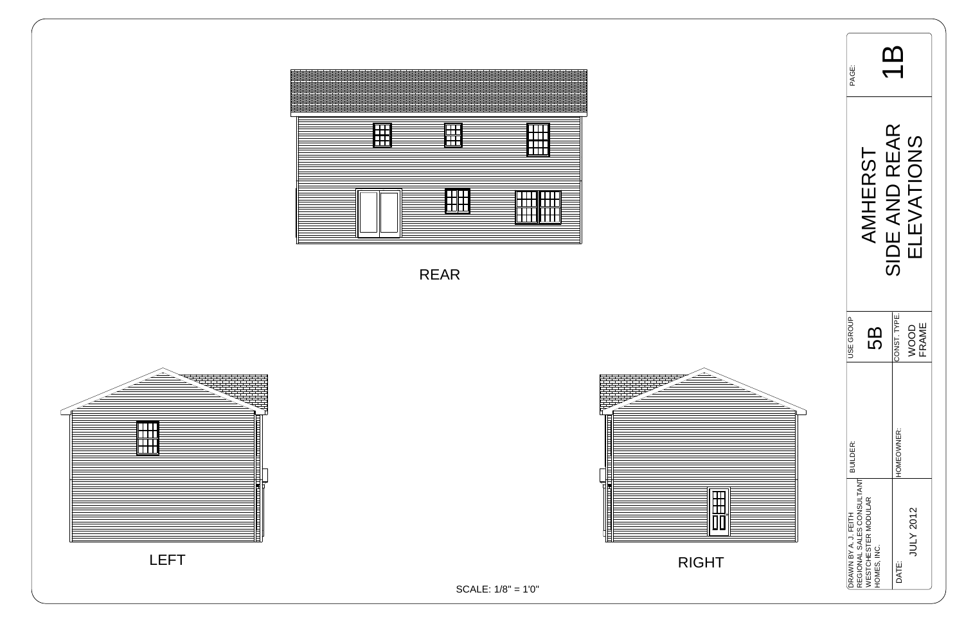| <b>BOK</b>           |                                                         |             |               |                                        |  |  |
|----------------------|---------------------------------------------------------|-------------|---------------|----------------------------------------|--|--|
|                      | MHERST                                                  |             | SIDE AND REAR | LEVATIONS<br>$\overline{\blacksquare}$ |  |  |
| <b>JSE GROUP</b>     |                                                         | 5<br>5      | CONST. TYPE.  | FRAME<br>VOOD                          |  |  |
| BUILDER:             |                                                         |             | HOMEOWNER:    |                                        |  |  |
| DRAWN BY A. J. FEITH | REGIONAL SALES CONSULTANT<br><b>NESTCHESTER MODULAR</b> | HOMES, INC. | DATE:         | JULY 2012                              |  |  |

LEFT



SCALE: 1/8" = 1'0"

RIGHT





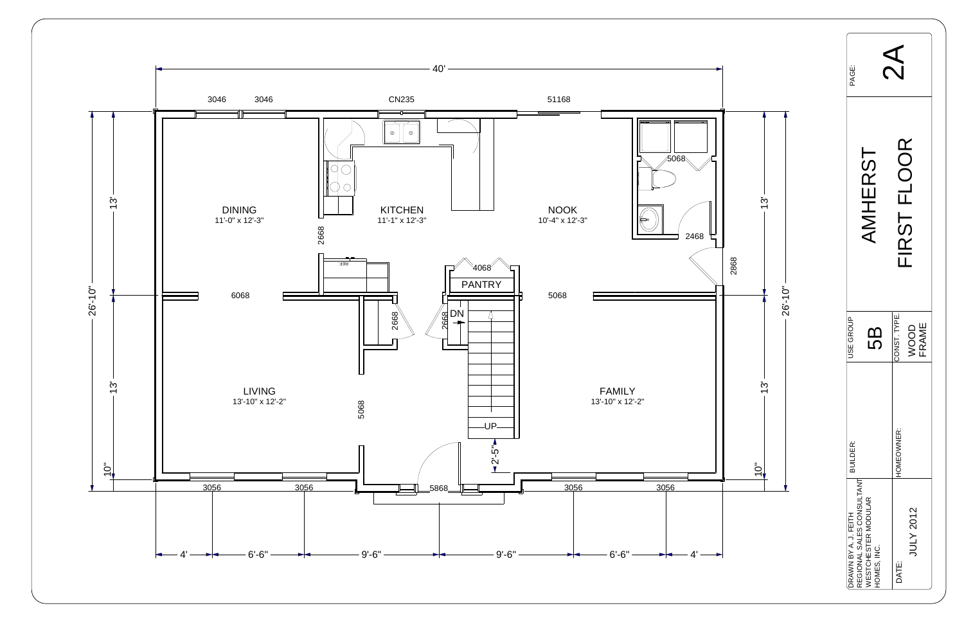